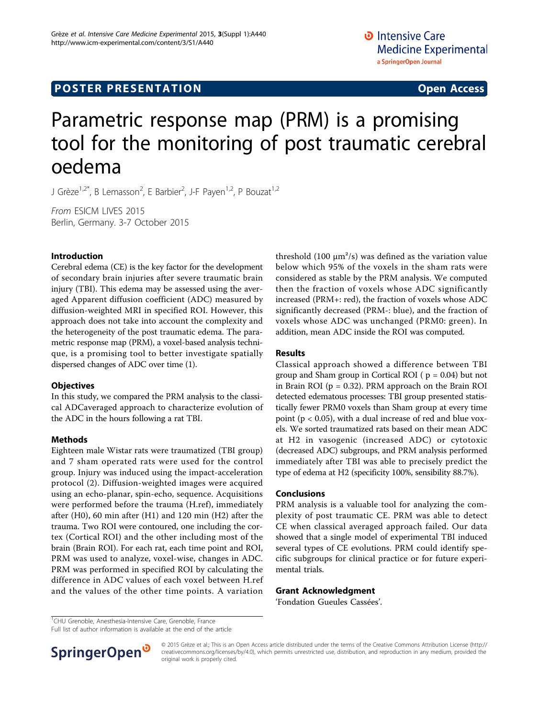# Parametric response map (PRM) is a promising tool for the monitoring of post traumatic cerebral oedema

J Grèze<sup>1,2\*</sup>, B Lemasson<sup>2</sup>, E Barbier<sup>2</sup>, J-F Payen<sup>1,2</sup>, P Bouzat<sup>1,2</sup>

From ESICM LIVES 2015 Berlin, Germany. 3-7 October 2015

## Introduction

Cerebral edema (CE) is the key factor for the development of secondary brain injuries after severe traumatic brain injury (TBI). This edema may be assessed using the averaged Apparent diffusion coefficient (ADC) measured by diffusion-weighted MRI in specified ROI. However, this approach does not take into account the complexity and the heterogeneity of the post traumatic edema. The parametric response map (PRM), a voxel-based analysis technique, is a promising tool to better investigate spatially dispersed changes of ADC over time (1).

## **Objectives**

In this study, we compared the PRM analysis to the classical ADCaveraged approach to characterize evolution of the ADC in the hours following a rat TBI.

# Methods

Eighteen male Wistar rats were traumatized (TBI group) and 7 sham operated rats were used for the control group. Injury was induced using the impact-acceleration protocol (2). Diffusion-weighted images were acquired using an echo-planar, spin-echo, sequence. Acquisitions were performed before the trauma (H.ref), immediately after (H0), 60 min after (H1) and 120 min (H2) after the trauma. Two ROI were contoured, one including the cortex (Cortical ROI) and the other including most of the brain (Brain ROI). For each rat, each time point and ROI, PRM was used to analyze, voxel-wise, changes in ADC. PRM was performed in specified ROI by calculating the difference in ADC values of each voxel between H.ref and the values of the other time points. A variation

threshold (100  $\mu$ m<sup>2</sup>/s) was defined as the variation value below which 95% of the voxels in the sham rats were considered as stable by the PRM analysis. We computed then the fraction of voxels whose ADC significantly increased (PRM+: red), the fraction of voxels whose ADC significantly decreased (PRM-: blue), and the fraction of voxels whose ADC was unchanged (PRM0: green). In addition, mean ADC inside the ROI was computed.

# Results

Classical approach showed a difference between TBI group and Sham group in Cortical ROI ( $p = 0.04$ ) but not in Brain ROI ( $p = 0.32$ ). PRM approach on the Brain ROI detected edematous processes: TBI group presented statistically fewer PRM0 voxels than Sham group at every time point ( $p < 0.05$ ), with a dual increase of red and blue voxels. We sorted traumatized rats based on their mean ADC at H2 in vasogenic (increased ADC) or cytotoxic (decreased ADC) subgroups, and PRM analysis performed immediately after TBI was able to precisely predict the type of edema at H2 (specificity 100%, sensibility 88.7%).

# Conclusions

PRM analysis is a valuable tool for analyzing the complexity of post traumatic CE. PRM was able to detect CE when classical averaged approach failed. Our data showed that a single model of experimental TBI induced several types of CE evolutions. PRM could identify specific subgroups for clinical practice or for future experimental trials.

## Grant Acknowledgment

'Fondation Gueules Cassées'.

<sup>1</sup>CHU Grenoble, Anesthesia-Intensive Care, Grenoble, France

Full list of author information is available at the end of the article



© 2015 Grèze et al.; This is an Open Access article distributed under the terms of the Creative Commons Attribution License [\(http://](http://creativecommons.org/licenses/by/4.0) [creativecommons.org/licenses/by/4.0](http://creativecommons.org/licenses/by/4.0)), which permits unrestricted use, distribution, and reproduction in any medium, provided the original work is properly cited.